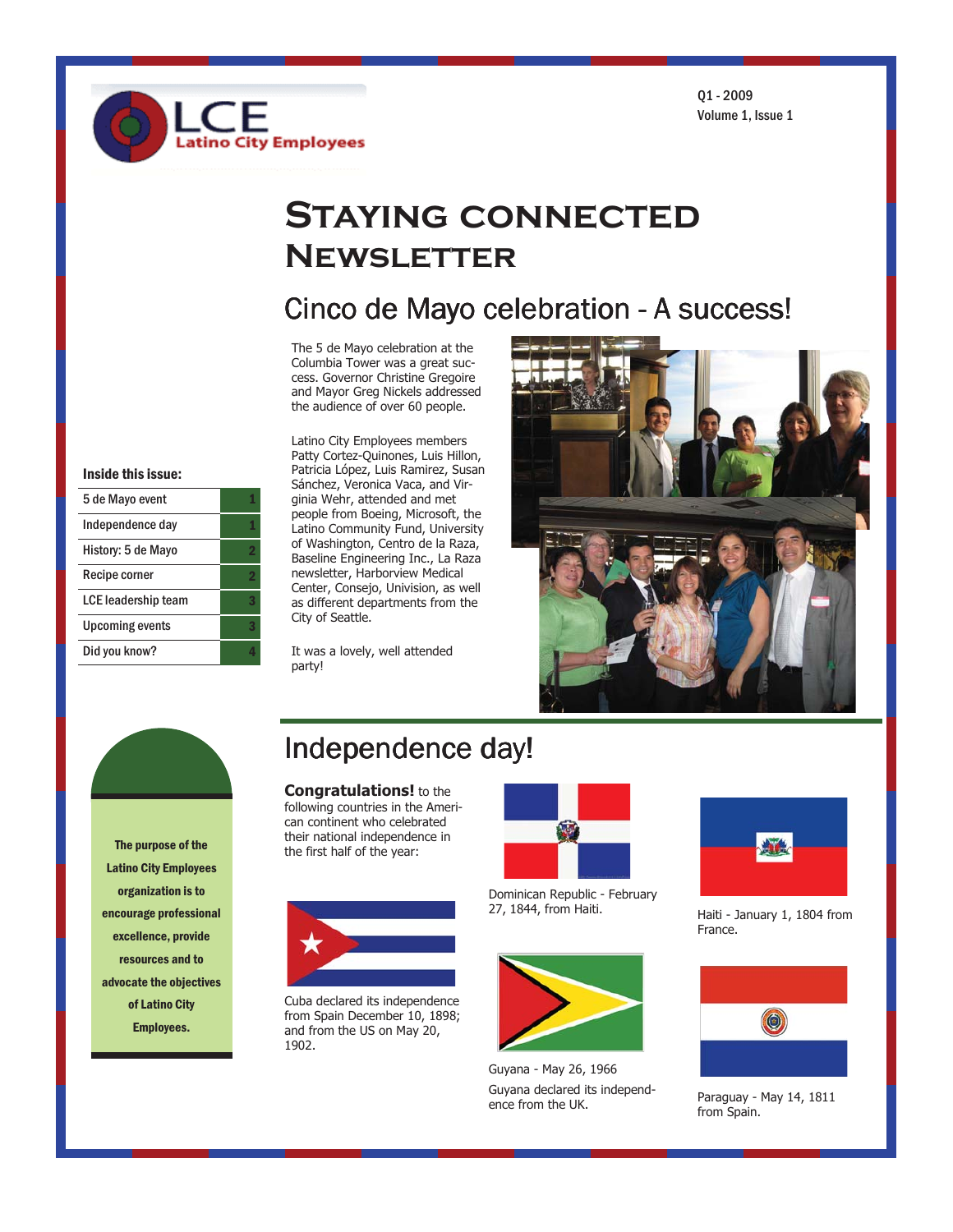$01 - 2009$ Volume 1. Issue 1

# **STAYING CONNECTED NEWSLETTER**

### Cinco de Mayo celebration - A success!

The 5 de Mayo celebration at the Columbia Tower was a great success. Governor Christine Gregoire and Mayor Greg Nickels addressed the audience of over 60 people.

tino City Employees

Latino City Employees members Patty Cortez-Quinones, Luis Hillon, Patricia López, Luis Ramirez, Susan Sánchez, Veronica Vaca, and Virginia Wehr, attended and met people from Boeing, Microsoft, the Latino Community Fund, University of Washington, Centro de la Raza, Baseline Engineering Inc., La Raza newsletter, Harborview Medical Center, Consejo, Univision, as well as different departments from the City of Seattle.

It was a lovely, well attended party!



Inside this issue:

5 de Mayo event

Independence day

History: 5 de Mayo

LCE leadership team

**Upcoming events** Did you know?

Recipe corner

The purpose of the **Latino City Employees** organization is to encourage professional excellence, provide resources and to advocate the objectives of Latino City **Employees.** 

### Independence day!

**Congratulations!** to the following countries in the American continent who celebrated their national independence in the first half of the year:



Cuba declared its independence from Spain December 10, 1898; and from the US on May 20, 1902.



Dominican Republic - February 27, 1844, from Haiti.



Guyana - May 26, 1966 Guvana declared its independence from the UK.



Haiti - January 1, 1804 from France.



Paraguay - May 14, 1811 from Spain.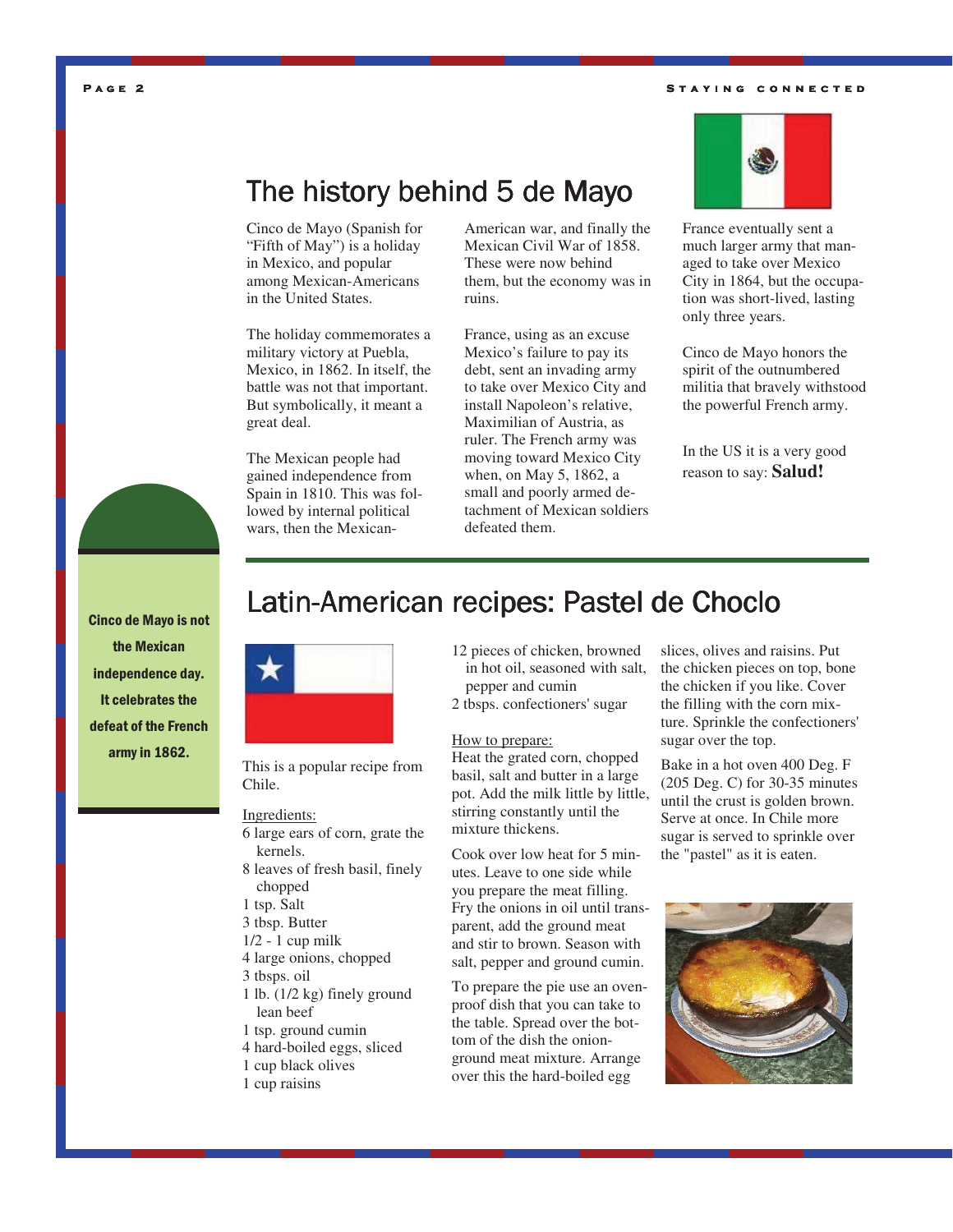#### STAYING CONNECTED



### The history behind 5 de Mayo

Cinco de Mayo (Spanish for "Fifth of May") is a holiday in Mexico, and popular among Mexican-Americans in the United States.

The holiday commemorates a military victory at Puebla, Mexico, in 1862. In itself, the battle was not that important. But symbolically, it meant a great deal.

The Mexican people had gained independence from Spain in 1810. This was followed by internal political wars, then the Mexican-

American war, and finally the Mexican Civil War of 1858. These were now behind them, but the economy was in ruins.

France, using as an excuse Mexico's failure to pay its debt, sent an invading army to take over Mexico City and install Napoleon's relative, Maximilian of Austria, as ruler. The French army was moving toward Mexico City when, on May 5, 1862, a small and poorly armed detachment of Mexican soldiers defeated them.



Cinco de Mayo honors the spirit of the outnumbered militia that bravely withstood the powerful French army.

In the US it is a very good reason to say: **Salud!**



**Cinco de Mayo is not** the Mexican independence day. It celebrates the defeat of the French army in 1862.

### Latin-American recipes: Pastel de Choclo



This is a popular recipe from Chile.

#### Ingredients:

- 6 large ears of corn, grate the kernels.
- 8 leaves of fresh basil, finely chopped
- 1 tsp. Salt
- 3 tbsp. Butter
- 1/2 1 cup milk
- 4 large onions, chopped
- 3 tbsps. oil
- 1 lb. (1/2 kg) finely ground lean beef
- 1 tsp. ground cumin
- 4 hard-boiled eggs, sliced
- 1 cup black olives
- 1 cup raisins
- 12 pieces of chicken, browned in hot oil, seasoned with salt, pepper and cumin
- 2 tbsps. confectioners' sugar

#### How to prepare:

Heat the grated corn, chopped basil, salt and butter in a large pot. Add the milk little by little, stirring constantly until the mixture thickens.

Cook over low heat for 5 minutes. Leave to one side while you prepare the meat filling. Fry the onions in oil until transparent, add the ground meat and stir to brown. Season with salt, pepper and ground cumin.

To prepare the pie use an ovenproof dish that you can take to the table. Spread over the bottom of the dish the onionground meat mixture. Arrange over this the hard-boiled egg

slices, olives and raisins. Put the chicken pieces on top, bone the chicken if you like. Cover the filling with the corn mixture. Sprinkle the confectioners' sugar over the top.

Bake in a hot oven 400 Deg. F (205 Deg. C) for 30-35 minutes until the crust is golden brown. Serve at once. In Chile more sugar is served to sprinkle over the "pastel" as it is eaten.

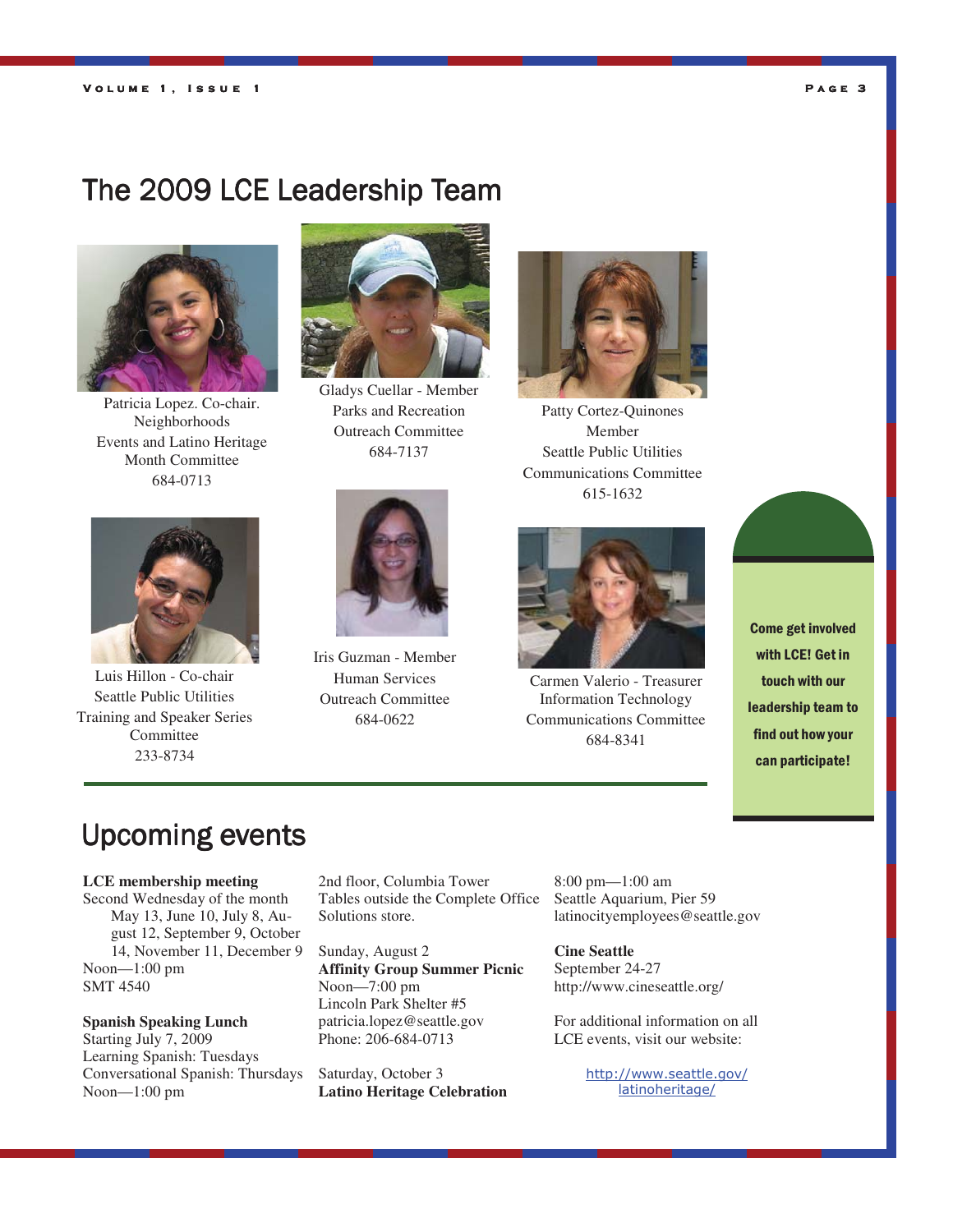### PAGE 3

### The 2009 LCE Leadership Team



Patricia Lopez. Co-chair. Neighborhoods Events and Latino Heritage Month Committee 684-0713



Gladys Cuellar - Member Parks and Recreation Outreach Committee 684-7137



Patty Cortez-Quinones Member Seattle Public Utilities Communications Committee 615-1632



Luis Hillon - Co-chair Seattle Public Utilities Training and Speaker Series **Committee** 233-8734



Iris Guzman - Member Human Services Outreach Committee 684-0622



Carmen Valerio - Treasurer Information Technology Communications Committee 684-8341



### **Upcoming events**

#### **LCE membership meeting**

Second Wednesday of the month May 13, June 10, July 8, August 12, September 9, October 14, November 11, December 9 Noon—1:00 pm SMT 4540

#### **Spanish Speaking Lunch**

Starting July 7, 2009 Learning Spanish: Tuesdays Conversational Spanish: Thursdays Noon—1:00 pm

2nd floor, Columbia Tower Tables outside the Complete Office Solutions store.

Sunday, August 2 **Affinity Group Summer Picnic**  Noon—7:00 pm Lincoln Park Shelter #5 patricia.lopez@seattle.gov Phone: 206-684-0713

Saturday, October 3 **Latino Heritage Celebration**  8:00 pm—1:00 am Seattle Aquarium, Pier 59 latinocityemployees@seattle.gov

**Cine Seattle**  September 24-27 http://www.cineseattle.org/

For additional information on all LCE events, visit our website:

> http://www.seattle.gov/ latinoheritage/